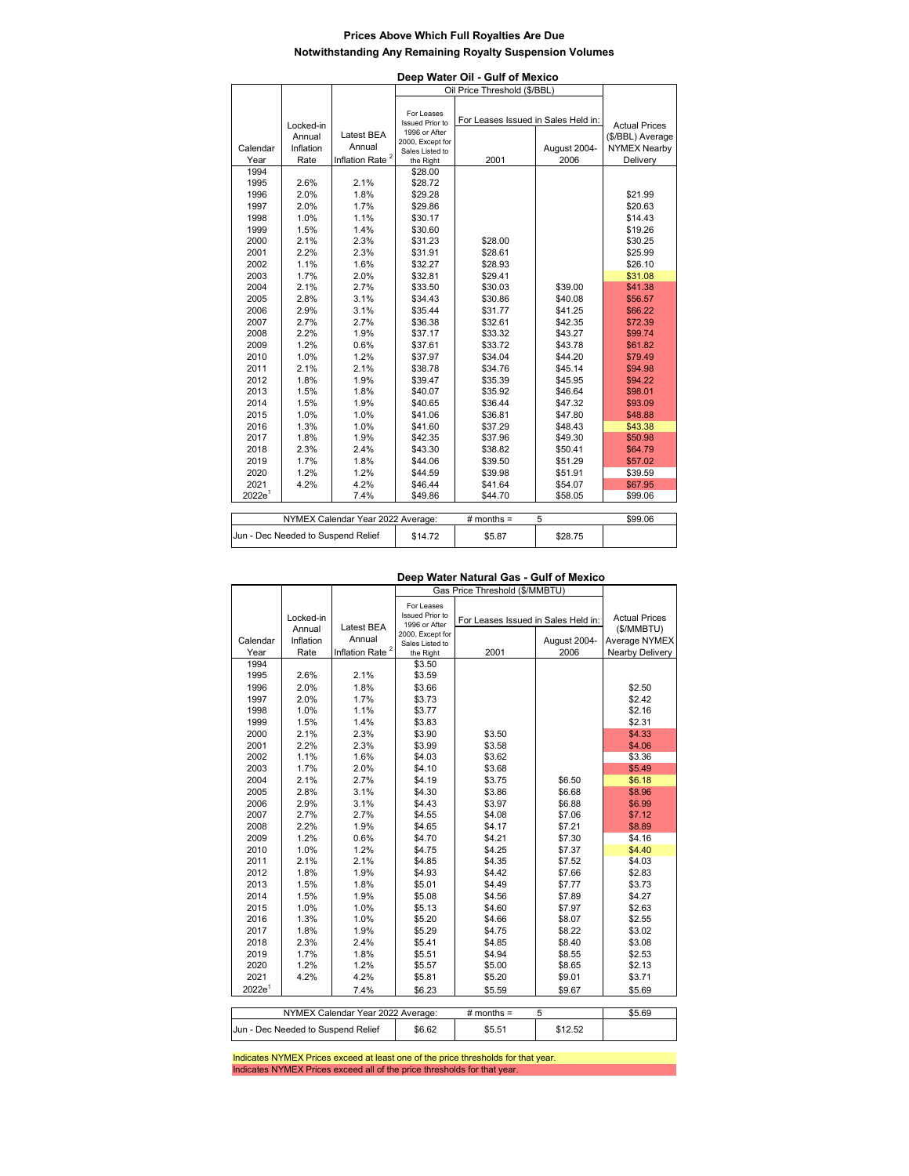## **Prices Above Which Full Royalties Are Due Notwithstanding Any Remaining Royalty Suspension Volumes**

| Deep Water Oil - Gulf of Mexico<br>Oil Price Threshold (\$/BBL)   |           |                             |                                   |                                     |              |                      |  |
|-------------------------------------------------------------------|-----------|-----------------------------|-----------------------------------|-------------------------------------|--------------|----------------------|--|
|                                                                   |           |                             |                                   |                                     |              |                      |  |
|                                                                   |           |                             |                                   |                                     |              |                      |  |
|                                                                   |           |                             | For Leases                        |                                     |              |                      |  |
|                                                                   | Locked-in |                             | <b>Issued Prior to</b>            | For Leases Issued in Sales Held in: |              | <b>Actual Prices</b> |  |
|                                                                   | Annual    | Latest BEA                  | 1996 or After<br>2000, Except for |                                     |              | (\$/BBL) Average     |  |
| Calendar                                                          | Inflation | Annual                      | Sales Listed to                   |                                     | August 2004- | <b>NYMEX Nearby</b>  |  |
| Year                                                              | Rate      | Inflation Rate <sup>2</sup> | the Right                         | 2001                                | 2006         | Delivery             |  |
| 1994                                                              |           |                             | \$28.00                           |                                     |              |                      |  |
| 1995                                                              | 2.6%      | 2.1%                        | \$28.72                           |                                     |              |                      |  |
| 1996                                                              | 2.0%      | 1.8%                        | \$29.28                           |                                     |              | \$21.99              |  |
| 1997                                                              | 2.0%      | 1.7%                        | \$29.86                           |                                     |              | \$20.63              |  |
| 1998                                                              | 1.0%      | 1.1%                        | \$30.17                           |                                     |              | \$14.43              |  |
| 1999                                                              | 1.5%      | 1.4%                        | \$30.60                           |                                     |              | \$19.26              |  |
| 2000                                                              | 2.1%      | 2.3%                        | \$31.23                           | \$28.00                             |              | \$30.25              |  |
| 2001                                                              | 2.2%      | 2.3%                        | \$31.91                           | \$28.61                             |              | \$25.99              |  |
| 2002                                                              | 1.1%      | 1.6%                        | \$32.27                           | \$28.93                             |              | \$26.10              |  |
| 2003                                                              | 1.7%      | 2.0%                        | \$32.81                           | \$29.41                             |              | \$31.08              |  |
| 2004                                                              | 2.1%      | 2.7%                        | \$33.50                           | \$30.03                             | \$39.00      | \$41.38              |  |
| 2005                                                              | 2.8%      | 3.1%                        | \$34.43                           | \$30.86                             | \$40.08      | \$56.57              |  |
| 2006                                                              | 2.9%      | 3.1%                        | \$35.44                           | \$31.77                             | \$41.25      | \$66.22              |  |
| 2007                                                              | 2.7%      | 2.7%                        | \$36.38                           | \$32.61                             | \$42.35      | \$72.39              |  |
| 2008                                                              | 2.2%      | 1.9%                        | \$37.17                           | \$33.32                             | \$43.27      | \$99.74              |  |
| 2009                                                              | 1.2%      | 0.6%                        | \$37.61                           | \$33.72                             | \$43.78      | \$61.82              |  |
| 2010                                                              | 1.0%      | 1.2%                        | \$37.97                           | \$34.04                             | \$44.20      | \$79.49              |  |
| 2011                                                              | 2.1%      | 2.1%                        | \$38.78                           | \$34.76                             | \$45.14      | \$94.98              |  |
| 2012                                                              | 1.8%      | 1.9%                        | \$39.47                           | \$35.39                             | \$45.95      | \$94.22              |  |
| 2013                                                              | 1.5%      | 1.8%                        | \$40.07                           | \$35.92                             | \$46.64      | \$98.01              |  |
| 2014                                                              | 1.5%      | 1.9%                        | \$40.65                           | \$36.44                             | \$47.32      | \$93.09              |  |
| 2015                                                              | 1.0%      | 1.0%                        | \$41.06                           | \$36.81                             | \$47.80      | \$48.88              |  |
| 2016                                                              | 1.3%      | 1.0%                        | \$41.60                           | \$37.29                             | \$48.43      | \$43.38              |  |
| 2017                                                              | 1.8%      | 1.9%                        | \$42.35                           | \$37.96                             | \$49.30      | \$50.98              |  |
| 2018                                                              | 2.3%      | 2.4%                        | \$43.30                           | \$38.82                             | \$50.41      | \$64.79              |  |
| 2019                                                              | 1.7%      | 1.8%                        | \$44.06                           | \$39.50                             | \$51.29      | \$57.02              |  |
| 2020                                                              | 1.2%      | 1.2%                        | \$44.59                           | \$39.98                             | \$51.91      | \$39.59              |  |
| 2021                                                              | 4.2%      | 4.2%                        | \$46.44                           | \$41.64                             | \$54.07      | \$67.95              |  |
| 2022e <sup>1</sup>                                                |           | 7.4%                        | \$49.86                           | \$44.70                             | \$58.05      | \$99.06              |  |
|                                                                   |           |                             |                                   |                                     |              |                      |  |
| NYMEX Calendar Year 2022 Average:<br># months $=$<br>5<br>\$99.06 |           |                             |                                   |                                     |              |                      |  |

## **Deep Water Natural Gas - Gulf of Mexico**

\$14.72 \$5.87 \$28.75

|                    |           |                                   | Gas Price Threshold (\$/MMBTU)      |                                     |              |                        |  |
|--------------------|-----------|-----------------------------------|-------------------------------------|-------------------------------------|--------------|------------------------|--|
|                    |           |                                   | For Leases                          |                                     |              |                        |  |
|                    | Locked-in |                                   | <b>Issued Prior to</b>              | For Leases Issued in Sales Held in: |              | <b>Actual Prices</b>   |  |
|                    | Annual    | <b>Latest BEA</b>                 | 1996 or After                       |                                     |              | (\$/MMBTU)             |  |
| Calendar           | Inflation | Annual                            | 2000, Except for<br>Sales Listed to |                                     | August 2004- | Average NYMEX          |  |
| Year               | Rate      | Inflation Rate <sup>2</sup>       | the Right                           | 2001                                | 2006         | <b>Nearby Delivery</b> |  |
| 1994               |           |                                   | \$3.50                              |                                     |              |                        |  |
| 1995               | 2.6%      | 2.1%                              | \$3.59                              |                                     |              |                        |  |
| 1996               | 2.0%      | 1.8%                              | \$3.66                              |                                     |              | \$2.50                 |  |
| 1997               | 2.0%      | 1.7%                              | \$3.73                              |                                     |              | \$2.42                 |  |
| 1998               | 1.0%      | 1.1%                              | \$3.77                              |                                     |              | \$2.16                 |  |
| 1999               | 1.5%      | 1.4%                              | \$3.83                              |                                     |              | \$2.31                 |  |
| 2000               | 2.1%      | 2.3%                              | \$3.90                              | \$3.50                              |              | \$4.33                 |  |
| 2001               | 2.2%      | 2.3%                              | \$3.99                              | \$3.58                              |              | \$4.06                 |  |
| 2002               | 1.1%      | 1.6%                              | \$4.03                              | \$3.62                              |              | \$3.36                 |  |
| 2003               | 1.7%      | 2.0%                              | \$4.10                              | \$3.68                              |              | \$5.49                 |  |
| 2004               | 2.1%      | 2.7%                              | \$4.19                              | \$3.75                              | \$6.50       | \$6.18                 |  |
| 2005               | 2.8%      | 3.1%                              | \$4.30                              | \$3.86                              | \$6.68       | \$8.96                 |  |
| 2006               | 2.9%      | 3.1%                              | \$4.43                              | \$3.97                              | \$6.88       | \$6.99                 |  |
| 2007               | 2.7%      | 2.7%                              | \$4.55                              | \$4.08                              | \$7.06       | \$7.12                 |  |
| 2008               | 2.2%      | 1.9%                              | \$4.65                              | \$4.17                              | \$7.21       | \$8.89                 |  |
| 2009               | 1.2%      | 0.6%                              | \$4.70                              | \$4.21                              | \$7.30       | \$4.16                 |  |
| 2010               | 1.0%      | 1.2%                              | \$4.75                              | \$4.25                              | \$7.37       | \$4.40                 |  |
| 2011               | 2.1%      | 2.1%                              | \$4.85                              | \$4.35                              | \$7.52       | \$4.03                 |  |
| 2012               | 1.8%      | 1.9%                              | \$4.93                              | \$4.42                              | \$7.66       | \$2.83                 |  |
| 2013               | 1.5%      | 1.8%                              | \$5.01                              | \$4.49                              | \$7.77       | \$3.73                 |  |
| 2014               | 1.5%      | 1.9%                              | \$5.08                              | \$4.56                              | \$7.89       | \$4.27                 |  |
| 2015               | 1.0%      | 1.0%                              | \$5.13                              | \$4.60                              | \$7.97       | \$2.63                 |  |
| 2016               | 1.3%      | 1.0%                              | \$5.20                              | \$4.66                              | \$8.07       | \$2.55                 |  |
| 2017               | 1.8%      | 1.9%                              | \$5.29                              | \$4.75                              | \$8.22       | \$3.02                 |  |
| 2018               | 2.3%      | 2.4%                              | \$5.41                              | \$4.85                              | \$8.40       | \$3.08                 |  |
| 2019               | 1.7%      | 1.8%                              | \$5.51                              | \$4.94                              | \$8.55       | \$2.53                 |  |
| 2020               | 1.2%      | 1.2%                              | \$5.57                              | \$5.00                              | \$8.65       | \$2.13                 |  |
| 2021               | 4.2%      | 4.2%                              | \$5.81                              | \$5.20                              | \$9.01       | \$3.71                 |  |
| 2022e <sup>1</sup> |           | 7.4%                              | \$6.23                              | \$5.59                              | \$9.67       | \$5.69                 |  |
|                    |           |                                   |                                     |                                     |              |                        |  |
|                    |           | NYMEX Calendar Year 2022 Average: |                                     | # months $=$                        | 5            | \$5.69                 |  |
|                    |           |                                   |                                     |                                     |              |                        |  |

\$6.62 \$5.51 \$12.52 Jun - Dec Needed to Suspend Relief

Jun - Dec Needed to Suspend Relief

Indicates NYMEX Prices exceed at least one of the price thresholds for that year. Indicates NYMEX Prices exceed all of the price thresholds for that year.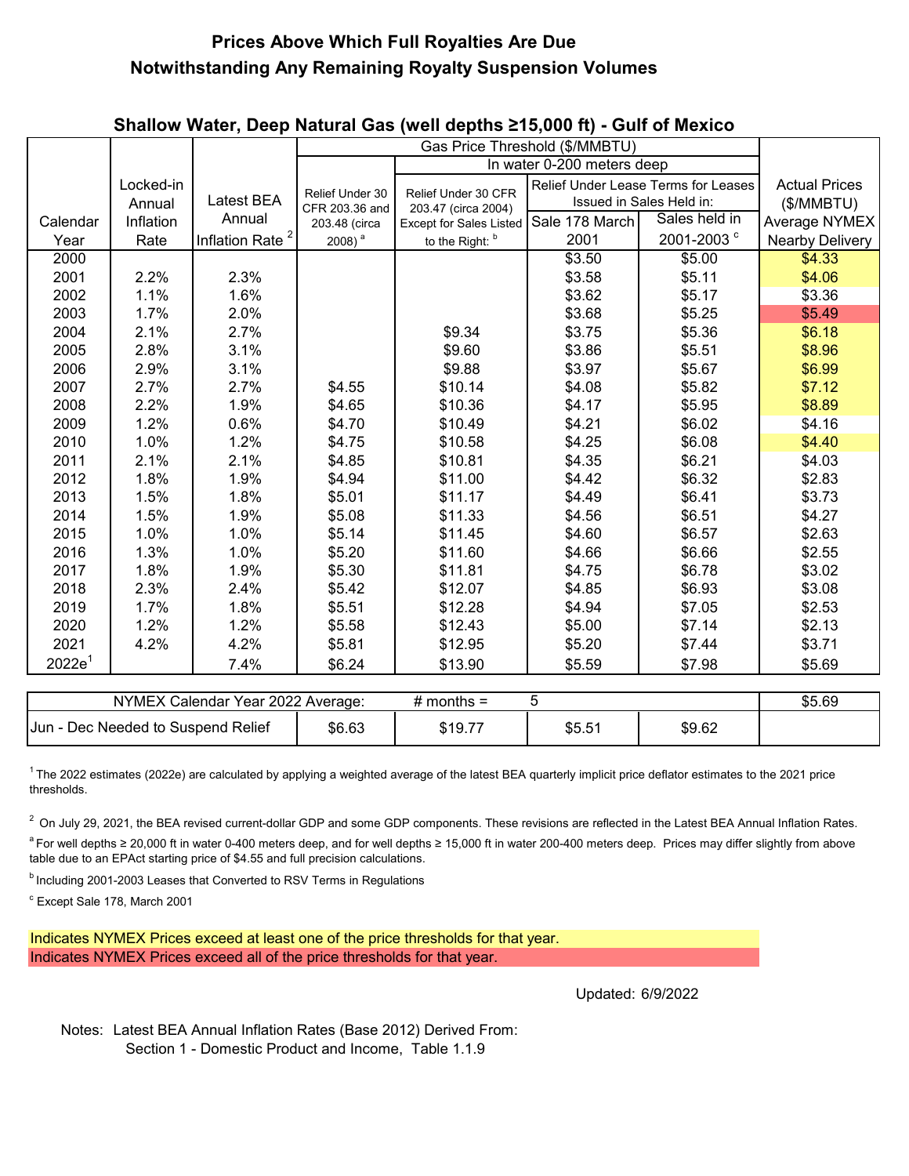## **Prices Above Which Full Royalties Are Due Notwithstanding Any Remaining Royalty Suspension Volumes**

|                                                        |           |                             |                                   | Gas Price Threshold (\$/MMBTU)<br>In water 0-200 meters deep |        |                                     |                        |
|--------------------------------------------------------|-----------|-----------------------------|-----------------------------------|--------------------------------------------------------------|--------|-------------------------------------|------------------------|
|                                                        | Locked-in |                             |                                   |                                                              |        | Relief Under Lease Terms for Leases | <b>Actual Prices</b>   |
|                                                        | Annual    | Latest BEA                  | Relief Under 30<br>CFR 203.36 and | Relief Under 30 CFR<br>203.47 (circa 2004)                   |        | Issued in Sales Held in:            | (\$/MMBTU)             |
| Calendar                                               | Inflation | Annual                      | 203.48 (circa                     | Except for Sales Listed Sale 178 March                       |        | Sales held in                       | Average NYMEX          |
| Year                                                   | Rate      | Inflation Rate <sup>2</sup> | 2008) $^a$                        | to the Right: b                                              | 2001   | 2001-2003 <sup>c</sup>              | <b>Nearby Delivery</b> |
| 2000                                                   |           |                             |                                   |                                                              | \$3.50 | \$5.00                              | \$4.33                 |
| 2001                                                   | 2.2%      | 2.3%                        |                                   |                                                              | \$3.58 | \$5.11                              | \$4.06                 |
| 2002                                                   | 1.1%      | 1.6%                        |                                   |                                                              | \$3.62 | \$5.17                              | \$3.36                 |
| 2003                                                   | 1.7%      | 2.0%                        |                                   |                                                              | \$3.68 | \$5.25                              | \$5.49                 |
| 2004                                                   | 2.1%      | 2.7%                        |                                   | \$9.34                                                       | \$3.75 | \$5.36                              | \$6.18                 |
| 2005                                                   | 2.8%      | 3.1%                        |                                   | \$9.60                                                       | \$3.86 | \$5.51                              | \$8.96                 |
| 2006                                                   | 2.9%      | 3.1%                        |                                   | \$9.88                                                       | \$3.97 | \$5.67                              | \$6.99                 |
| 2007                                                   | 2.7%      | 2.7%                        | \$4.55                            | \$10.14                                                      | \$4.08 | \$5.82                              | \$7.12                 |
| 2008                                                   | 2.2%      | 1.9%                        | \$4.65                            | \$10.36                                                      | \$4.17 | \$5.95                              | \$8.89                 |
| 2009                                                   | 1.2%      | 0.6%                        | \$4.70                            | \$10.49                                                      | \$4.21 | \$6.02                              | \$4.16                 |
| 2010                                                   | 1.0%      | 1.2%                        | \$4.75                            | \$10.58                                                      | \$4.25 | \$6.08                              | \$4.40                 |
| 2011                                                   | 2.1%      | 2.1%                        | \$4.85                            | \$10.81                                                      | \$4.35 | \$6.21                              | \$4.03                 |
| 2012                                                   | 1.8%      | 1.9%                        | \$4.94                            | \$11.00                                                      | \$4.42 | \$6.32                              | \$2.83                 |
| 2013                                                   | 1.5%      | 1.8%                        | \$5.01                            | \$11.17                                                      | \$4.49 | \$6.41                              | \$3.73                 |
| 2014                                                   | 1.5%      | 1.9%                        | \$5.08                            | \$11.33                                                      | \$4.56 | \$6.51                              | \$4.27                 |
| 2015                                                   | 1.0%      | 1.0%                        | \$5.14                            | \$11.45                                                      | \$4.60 | \$6.57                              | \$2.63                 |
| 2016                                                   | 1.3%      | 1.0%                        | \$5.20                            | \$11.60                                                      | \$4.66 | \$6.66                              | \$2.55                 |
| 2017                                                   | 1.8%      | 1.9%                        | \$5.30                            | \$11.81                                                      | \$4.75 | \$6.78                              | \$3.02                 |
| 2018                                                   | 2.3%      | 2.4%                        | \$5.42                            | \$12.07                                                      | \$4.85 | \$6.93                              | \$3.08                 |
| 2019                                                   | 1.7%      | 1.8%                        | \$5.51                            | \$12.28                                                      | \$4.94 | \$7.05                              | \$2.53                 |
| 2020                                                   | 1.2%      | 1.2%                        | \$5.58                            | \$12.43                                                      | \$5.00 | \$7.14                              | \$2.13                 |
| 2021                                                   | 4.2%      | 4.2%                        | \$5.81                            | \$12.95                                                      | \$5.20 | \$7.44                              | \$3.71                 |
| 2022e <sup>1</sup>                                     |           | 7.4%                        | \$6.24                            | \$13.90                                                      | \$5.59 | \$7.98                              | \$5.69                 |
|                                                        |           |                             |                                   |                                                              |        |                                     |                        |
| 5<br>NYMEX Calendar Year 2022 Average:<br># months $=$ |           |                             |                                   |                                                              |        |                                     | \$5.69                 |

 $1$ The 2022 estimates (2022e) are calculated by applying a weighted average of the latest BEA quarterly implicit price deflator estimates to the 2021 price thresholds.

\$6.63 | \$19.77 | \$5.51 | \$9.62

<sup>a</sup> For well depths ≥ 20,000 ft in water 0-400 meters deep, and for well depths ≥ 15,000 ft in water 200-400 meters deep. Prices may differ slightly from above table due to an EPAct starting price of \$4.55 and full precision calculations.  $2$  On July 29, 2021, the BEA revised current-dollar GDP and some GDP components. These revisions are reflected in the Latest BEA Annual Inflation Rates.

**b** Including 2001-2003 Leases that Converted to RSV Terms in Regulations

 $\degree$  Except Sale 178, March 2001

Jun - Dec Needed to Suspend Relief

Indicates NYMEX Prices exceed at least one of the price thresholds for that year. Indicates NYMEX Prices exceed all of the price thresholds for that year.

Updated: 6/9/2022

Notes: Latest BEA Annual Inflation Rates (Base 2012) Derived From: Section 1 - Domestic Product and Income, Table 1.1.9